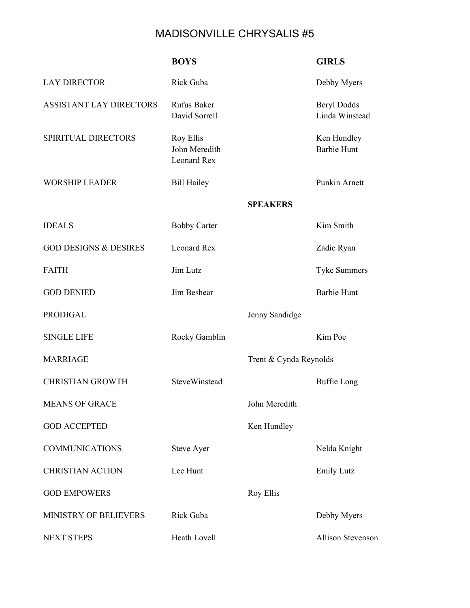## MADISONVILLE CHRYSALIS #5

|                                  | <b>BOYS</b>                               |                        | <b>GIRLS</b>                         |
|----------------------------------|-------------------------------------------|------------------------|--------------------------------------|
| <b>LAY DIRECTOR</b>              | Rick Guba                                 |                        | Debby Myers                          |
| ASSISTANT LAY DIRECTORS          | Rufus Baker<br>David Sorrell              |                        | <b>Beryl Dodds</b><br>Linda Winstead |
| SPIRITUAL DIRECTORS              | Roy Ellis<br>John Meredith<br>Leonard Rex |                        | Ken Hundley<br><b>Barbie Hunt</b>    |
| <b>WORSHIP LEADER</b>            | <b>Bill Hailey</b>                        |                        | Punkin Arnett                        |
|                                  |                                           | <b>SPEAKERS</b>        |                                      |
| <b>IDEALS</b>                    | <b>Bobby Carter</b>                       |                        | Kim Smith                            |
| <b>GOD DESIGNS &amp; DESIRES</b> | Leonard Rex                               |                        | Zadie Ryan                           |
| <b>FAITH</b>                     | Jim Lutz                                  |                        | <b>Tyke Summers</b>                  |
| <b>GOD DENIED</b>                | Jim Beshear                               |                        | <b>Barbie Hunt</b>                   |
| <b>PRODIGAL</b>                  |                                           | Jenny Sandidge         |                                      |
| <b>SINGLE LIFE</b>               | Rocky Gamblin                             |                        | Kim Poe                              |
| <b>MARRIAGE</b>                  |                                           | Trent & Cynda Reynolds |                                      |
| <b>CHRISTIAN GROWTH</b>          | SteveWinstead                             |                        | <b>Buffie Long</b>                   |
| <b>MEANS OF GRACE</b>            |                                           | John Meredith          |                                      |
| <b>GOD ACCEPTED</b>              |                                           | Ken Hundley            |                                      |
| <b>COMMUNICATIONS</b>            | <b>Steve Ayer</b>                         |                        | Nelda Knight                         |
| <b>CHRISTIAN ACTION</b>          | Lee Hunt                                  |                        | <b>Emily Lutz</b>                    |
| <b>GOD EMPOWERS</b>              |                                           | <b>Roy Ellis</b>       |                                      |
| MINISTRY OF BELIEVERS            | Rick Guba                                 |                        | Debby Myers                          |
| <b>NEXT STEPS</b>                | Heath Lovell                              |                        | Allison Stevenson                    |